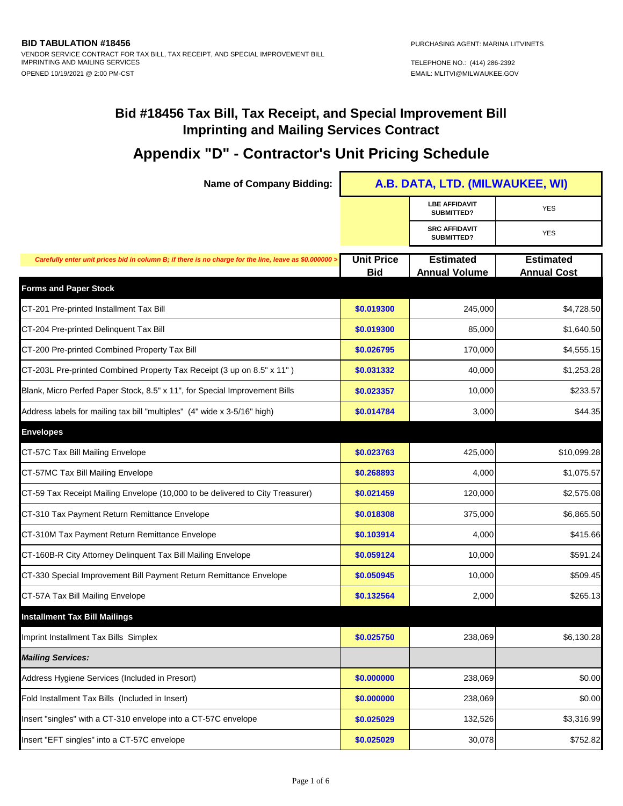| <b>Name of Company Bidding:</b>                                                                      | A.B. DATA, LTD. (MILWAUKEE, WI) |                                          |                                        |
|------------------------------------------------------------------------------------------------------|---------------------------------|------------------------------------------|----------------------------------------|
|                                                                                                      |                                 | <b>LBE AFFIDAVIT</b><br>SUBMITTED?       | <b>YES</b>                             |
|                                                                                                      |                                 | <b>SRC AFFIDAVIT</b><br>SUBMITTED?       | <b>YES</b>                             |
| Carefully enter unit prices bid in column B; if there is no charge for the line, leave as \$0.000000 | <b>Unit Price</b><br><b>Bid</b> | <b>Estimated</b><br><b>Annual Volume</b> | <b>Estimated</b><br><b>Annual Cost</b> |
| <b>Forms and Paper Stock</b>                                                                         |                                 |                                          |                                        |
| CT-201 Pre-printed Installment Tax Bill                                                              | \$0.019300                      | 245,000                                  | \$4,728.50                             |
| CT-204 Pre-printed Delinquent Tax Bill                                                               | \$0.019300                      | 85,000                                   | \$1,640.50                             |
| CT-200 Pre-printed Combined Property Tax Bill                                                        | \$0.026795                      | 170,000                                  | \$4,555.15                             |
| CT-203L Pre-printed Combined Property Tax Receipt (3 up on 8.5" x 11")                               | \$0.031332                      | 40,000                                   | \$1,253.28                             |
| Blank, Micro Perfed Paper Stock, 8.5" x 11", for Special Improvement Bills                           | \$0.023357                      | 10,000                                   | \$233.57                               |
| Address labels for mailing tax bill "multiples" (4" wide x 3-5/16" high)                             | \$0.014784                      | 3,000                                    | \$44.35                                |
| <b>Envelopes</b>                                                                                     |                                 |                                          |                                        |
| CT-57C Tax Bill Mailing Envelope                                                                     | \$0.023763                      | 425,000                                  | \$10,099.28                            |
| CT-57MC Tax Bill Mailing Envelope                                                                    | \$0.268893                      | 4,000                                    | \$1,075.57                             |
| CT-59 Tax Receipt Mailing Envelope (10,000 to be delivered to City Treasurer)                        | \$0.021459                      | 120,000                                  | \$2,575.08                             |
| CT-310 Tax Payment Return Remittance Envelope                                                        | \$0.018308                      | 375,000                                  | \$6,865.50                             |
| CT-310M Tax Payment Return Remittance Envelope                                                       | \$0.103914                      | 4,000                                    | \$415.66                               |
| CT-160B-R City Attorney Delinquent Tax Bill Mailing Envelope                                         | \$0.059124                      | 10,000                                   | \$591.24                               |
| CT-330 Special Improvement Bill Payment Return Remittance Envelope                                   | \$0.050945                      | 10,000                                   | \$509.45                               |
| CT-57A Tax Bill Mailing Envelope                                                                     | \$0.132564                      | 2,000                                    | \$265.13                               |
| <b>Installment Tax Bill Mailings</b>                                                                 |                                 |                                          |                                        |
| Imprint Installment Tax Bills Simplex                                                                | \$0.025750                      | 238,069                                  | \$6,130.28                             |
| <b>Mailing Services:</b>                                                                             |                                 |                                          |                                        |
| Address Hygiene Services (Included in Presort)                                                       | \$0.000000                      | 238,069                                  | \$0.00                                 |
| Fold Installment Tax Bills (Included in Insert)                                                      | \$0.000000                      | 238,069                                  | \$0.00                                 |
| Insert "singles" with a CT-310 envelope into a CT-57C envelope                                       | \$0.025029                      | 132,526                                  | \$3,316.99                             |
| Insert "EFT singles" into a CT-57C envelope                                                          | \$0.025029                      | 30,078                                   | \$752.82                               |
|                                                                                                      |                                 |                                          |                                        |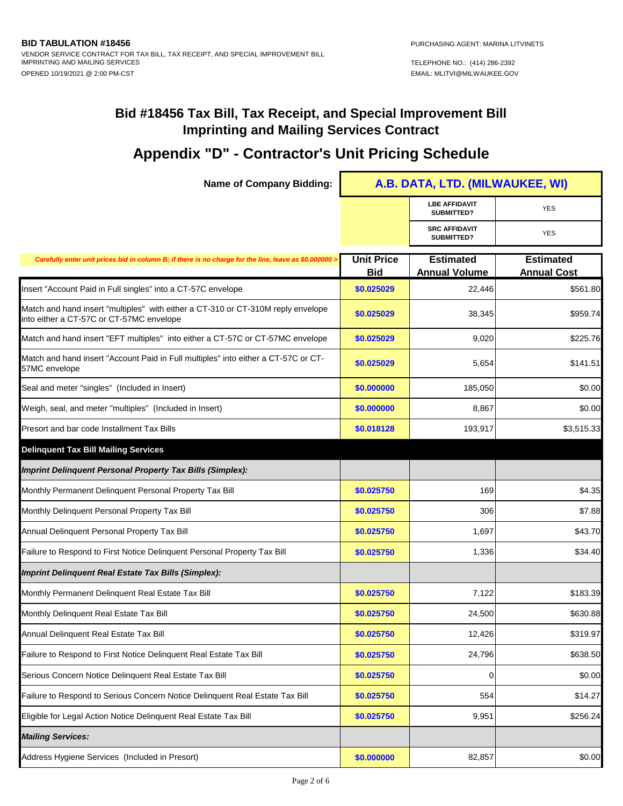| <b>Name of Company Bidding:</b>                                                                                              | A.B. DATA, LTD. (MILWAUKEE, WI) |                                          |                                        |
|------------------------------------------------------------------------------------------------------------------------------|---------------------------------|------------------------------------------|----------------------------------------|
|                                                                                                                              |                                 | <b>LBE AFFIDAVIT</b><br>SUBMITTED?       | <b>YES</b>                             |
|                                                                                                                              |                                 | <b>SRC AFFIDAVIT</b><br>SUBMITTED?       | <b>YES</b>                             |
| Carefully enter unit prices bid in column B; if there is no charge for the line, leave as \$0.000000 >                       | <b>Unit Price</b><br><b>Bid</b> | <b>Estimated</b><br><b>Annual Volume</b> | <b>Estimated</b><br><b>Annual Cost</b> |
| Insert "Account Paid in Full singles" into a CT-57C envelope                                                                 | \$0.025029                      | 22,446                                   | \$561.80                               |
| Match and hand insert "multiples" with either a CT-310 or CT-310M reply envelope<br>into either a CT-57C or CT-57MC envelope | \$0.025029                      | 38,345                                   | \$959.74                               |
| Match and hand insert "EFT multiples" into either a CT-57C or CT-57MC envelope                                               | \$0.025029                      | 9,020                                    | \$225.76                               |
| Match and hand insert "Account Paid in Full multiples" into either a CT-57C or CT-<br>57MC envelope                          | \$0.025029                      | 5,654                                    | \$141.51                               |
| Seal and meter "singles" (Included in Insert)                                                                                | \$0.000000                      | 185,050                                  | \$0.00                                 |
| Weigh, seal, and meter "multiples" (Included in Insert)                                                                      | \$0.000000                      | 8,867                                    | \$0.00                                 |
| Presort and bar code Installment Tax Bills                                                                                   | \$0.018128                      | 193,917                                  | \$3,515.33                             |
| <b>Delinquent Tax Bill Mailing Services</b>                                                                                  |                                 |                                          |                                        |
| <b>Imprint Delinquent Personal Property Tax Bills (Simplex):</b>                                                             |                                 |                                          |                                        |
| Monthly Permanent Delinquent Personal Property Tax Bill                                                                      | \$0.025750                      | 169                                      | \$4.35                                 |
| Monthly Delinquent Personal Property Tax Bill                                                                                | \$0.025750                      | 306                                      | \$7.88                                 |
| Annual Delinquent Personal Property Tax Bill                                                                                 | \$0.025750                      | 1,697                                    | \$43.70                                |
| Failure to Respond to First Notice Delinquent Personal Property Tax Bill                                                     | \$0.025750                      | 1,336                                    | \$34.40                                |
| <b>Imprint Delinquent Real Estate Tax Bills (Simplex):</b>                                                                   |                                 |                                          |                                        |
| Monthly Permanent Delinquent Real Estate Tax Bill                                                                            | \$0.025750                      | 7,122                                    | \$183.39                               |
| Monthly Delinquent Real Estate Tax Bill                                                                                      | \$0.025750                      | 24,500                                   | \$630.88                               |
| Annual Delinquent Real Estate Tax Bill                                                                                       | \$0.025750                      | 12,426                                   | \$319.97                               |
| Failure to Respond to First Notice Delinquent Real Estate Tax Bill                                                           | \$0.025750                      | 24,796                                   | \$638.50                               |
| Serious Concern Notice Delinquent Real Estate Tax Bill                                                                       | \$0.025750                      | 0                                        | \$0.00                                 |
| Failure to Respond to Serious Concern Notice Delinquent Real Estate Tax Bill                                                 | \$0.025750                      | 554                                      | \$14.27                                |
| Eligible for Legal Action Notice Delinquent Real Estate Tax Bill                                                             | \$0.025750                      | 9,951                                    | \$256.24                               |
| <b>Mailing Services:</b>                                                                                                     |                                 |                                          |                                        |
| Address Hygiene Services (Included in Presort)                                                                               | \$0.000000                      | 82,857                                   | \$0.00                                 |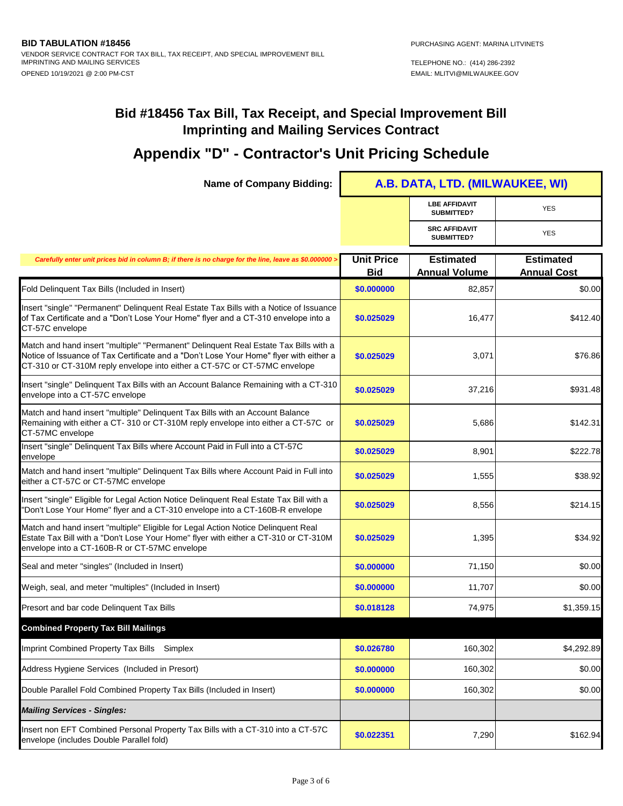| <b>Name of Company Bidding:</b>                                                                                                                                                                                                                             | A.B. DATA, LTD. (MILWAUKEE, WI) |                                          |                                        |
|-------------------------------------------------------------------------------------------------------------------------------------------------------------------------------------------------------------------------------------------------------------|---------------------------------|------------------------------------------|----------------------------------------|
|                                                                                                                                                                                                                                                             |                                 | <b>LBE AFFIDAVIT</b><br>SUBMITTED?       | <b>YES</b>                             |
|                                                                                                                                                                                                                                                             |                                 | <b>SRC AFFIDAVIT</b><br>SUBMITTED?       | <b>YES</b>                             |
| Carefully enter unit prices bid in column B; if there is no charge for the line, leave as \$0.000000 :                                                                                                                                                      | <b>Unit Price</b><br><b>Bid</b> | <b>Estimated</b><br><b>Annual Volume</b> | <b>Estimated</b><br><b>Annual Cost</b> |
| Fold Delinquent Tax Bills (Included in Insert)                                                                                                                                                                                                              | \$0.000000                      | 82.857                                   | \$0.00                                 |
| Insert "single" "Permanent" Delinquent Real Estate Tax Bills with a Notice of Issuance<br>of Tax Certificate and a "Don't Lose Your Home" flyer and a CT-310 envelope into a<br>CT-57C envelope                                                             | \$0.025029                      | 16,477                                   | \$412.40                               |
| Match and hand insert "multiple" "Permanent" Delinquent Real Estate Tax Bills with a<br>Notice of Issuance of Tax Certificate and a "Don't Lose Your Home" flyer with either a<br>CT-310 or CT-310M reply envelope into either a CT-57C or CT-57MC envelope | \$0.025029                      | 3,071                                    | \$76.86                                |
| Insert "single" Delinquent Tax Bills with an Account Balance Remaining with a CT-310<br>envelope into a CT-57C envelope                                                                                                                                     | \$0.025029                      | 37,216                                   | \$931.48                               |
| Match and hand insert "multiple" Delinquent Tax Bills with an Account Balance<br>Remaining with either a CT- 310 or CT-310M reply envelope into either a CT-57C or<br>CT-57MC envelope                                                                      | \$0.025029                      | 5,686                                    | \$142.31                               |
| Insert "single" Delinquent Tax Bills where Account Paid in Full into a CT-57C<br>envelope                                                                                                                                                                   | \$0.025029                      | 8,901                                    | \$222.78                               |
| Match and hand insert "multiple" Delinquent Tax Bills where Account Paid in Full into<br>either a CT-57C or CT-57MC envelope                                                                                                                                | \$0.025029                      | 1,555                                    | \$38.92                                |
| Insert "single" Eligible for Legal Action Notice Delinquent Real Estate Tax Bill with a<br>"Don't Lose Your Home" flyer and a CT-310 envelope into a CT-160B-R envelope                                                                                     | \$0.025029                      | 8,556                                    | \$214.15                               |
| Match and hand insert "multiple" Eligible for Legal Action Notice Delinquent Real<br>Estate Tax Bill with a "Don't Lose Your Home" flyer with either a CT-310 or CT-310M<br>envelope into a CT-160B-R or CT-57MC envelope                                   | \$0.025029                      | 1,395                                    | \$34.92                                |
| Seal and meter "singles" (Included in Insert)                                                                                                                                                                                                               | \$0.000000                      | 71,150                                   | \$0.00                                 |
| Weigh, seal, and meter "multiples" (Included in Insert)                                                                                                                                                                                                     | \$0.000000                      | 11,707                                   | \$0.00                                 |
| Presort and bar code Delinquent Tax Bills                                                                                                                                                                                                                   | \$0.018128                      | 74,975                                   | \$1,359.15                             |
| <b>Combined Property Tax Bill Mailings</b>                                                                                                                                                                                                                  |                                 |                                          |                                        |
| Imprint Combined Property Tax Bills Simplex                                                                                                                                                                                                                 | \$0.026780                      | 160,302                                  | \$4,292.89                             |
| Address Hygiene Services (Included in Presort)                                                                                                                                                                                                              | \$0.000000                      | 160,302                                  | \$0.00                                 |
| Double Parallel Fold Combined Property Tax Bills (Included in Insert)                                                                                                                                                                                       | \$0.000000                      | 160,302                                  | \$0.00                                 |
| <b>Mailing Services - Singles:</b>                                                                                                                                                                                                                          |                                 |                                          |                                        |
| Insert non EFT Combined Personal Property Tax Bills with a CT-310 into a CT-57C<br>envelope (includes Double Parallel fold)                                                                                                                                 | \$0.022351                      | 7,290                                    | \$162.94                               |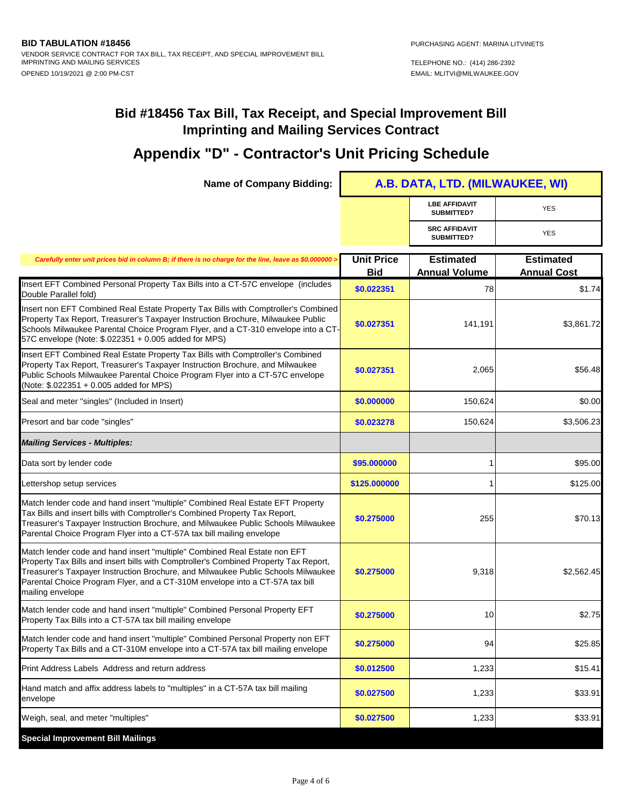| <b>Name of Company Bidding:</b>                                                                                                                                                                                                                                                                                                                            | A.B. DATA, LTD. (MILWAUKEE, WI) |                                          |                                        |
|------------------------------------------------------------------------------------------------------------------------------------------------------------------------------------------------------------------------------------------------------------------------------------------------------------------------------------------------------------|---------------------------------|------------------------------------------|----------------------------------------|
|                                                                                                                                                                                                                                                                                                                                                            |                                 | <b>LBE AFFIDAVIT</b><br>SUBMITTED?       | <b>YES</b>                             |
|                                                                                                                                                                                                                                                                                                                                                            |                                 | <b>SRC AFFIDAVIT</b><br>SUBMITTED?       | <b>YES</b>                             |
| Carefully enter unit prices bid in column B; if there is no charge for the line, leave as \$0.000000 >                                                                                                                                                                                                                                                     | <b>Unit Price</b><br><b>Bid</b> | <b>Estimated</b><br><b>Annual Volume</b> | <b>Estimated</b><br><b>Annual Cost</b> |
| Insert EFT Combined Personal Property Tax Bills into a CT-57C envelope (includes<br>Double Parallel fold)                                                                                                                                                                                                                                                  | \$0.022351                      | 78                                       | \$1.74                                 |
| Insert non EFT Combined Real Estate Property Tax Bills with Comptroller's Combined<br>Property Tax Report, Treasurer's Taxpayer Instruction Brochure, Milwaukee Public<br>Schools Milwaukee Parental Choice Program Flyer, and a CT-310 envelope into a CT-<br>57C envelope (Note: \$.022351 + 0.005 added for MPS)                                        | \$0.027351                      | 141,191                                  | \$3,861.72                             |
| Insert EFT Combined Real Estate Property Tax Bills with Comptroller's Combined<br>Property Tax Report, Treasurer's Taxpayer Instruction Brochure, and Milwaukee<br>Public Schools Milwaukee Parental Choice Program Flyer into a CT-57C envelope<br>(Note: \$.022351 + 0.005 added for MPS)                                                                | \$0.027351                      | 2,065                                    | \$56.48                                |
| Seal and meter "singles" (Included in Insert)                                                                                                                                                                                                                                                                                                              | \$0.000000                      | 150,624                                  | \$0.00                                 |
| Presort and bar code "singles"                                                                                                                                                                                                                                                                                                                             | \$0.023278                      | 150,624                                  | \$3,506.23                             |
| <b>Mailing Services - Multiples:</b>                                                                                                                                                                                                                                                                                                                       |                                 |                                          |                                        |
| Data sort by lender code                                                                                                                                                                                                                                                                                                                                   | \$95.000000                     | 1                                        | \$95.00                                |
| Lettershop setup services                                                                                                                                                                                                                                                                                                                                  | \$125.000000                    | 1                                        | \$125.00                               |
| Match lender code and hand insert "multiple" Combined Real Estate EFT Property<br>Tax Bills and insert bills with Comptroller's Combined Property Tax Report,<br>Treasurer's Taxpayer Instruction Brochure, and Milwaukee Public Schools Milwaukee<br>Parental Choice Program Flyer into a CT-57A tax bill mailing envelope                                | \$0.275000                      | 255                                      | \$70.13                                |
| Match lender code and hand insert "multiple" Combined Real Estate non EFT<br>Property Tax Bills and insert bills with Comptroller's Combined Property Tax Report,<br>Treasurer's Taxpayer Instruction Brochure, and Milwaukee Public Schools Milwaukee<br>Parental Choice Program Flyer, and a CT-310M envelope into a CT-57A tax bill<br>mailing envelope | \$0.275000                      | 9,318                                    | \$2,562.45                             |
| Match lender code and hand insert "multiple" Combined Personal Property EFT<br>Property Tax Bills into a CT-57A tax bill mailing envelope                                                                                                                                                                                                                  | \$0.275000                      | 10                                       | \$2.75                                 |
| Match lender code and hand insert "multiple" Combined Personal Property non EFT<br>Property Tax Bills and a CT-310M envelope into a CT-57A tax bill mailing envelope                                                                                                                                                                                       | \$0.275000                      | 94                                       | \$25.85                                |
| Print Address Labels Address and return address                                                                                                                                                                                                                                                                                                            | \$0.012500                      | 1,233                                    | \$15.41                                |
| Hand match and affix address labels to "multiples" in a CT-57A tax bill mailing<br>envelope                                                                                                                                                                                                                                                                | \$0.027500                      | 1,233                                    | \$33.91                                |
| Weigh, seal, and meter "multiples"                                                                                                                                                                                                                                                                                                                         | \$0.027500                      | 1,233                                    | \$33.91                                |
| <b>Special Improvement Bill Mailings</b>                                                                                                                                                                                                                                                                                                                   |                                 |                                          |                                        |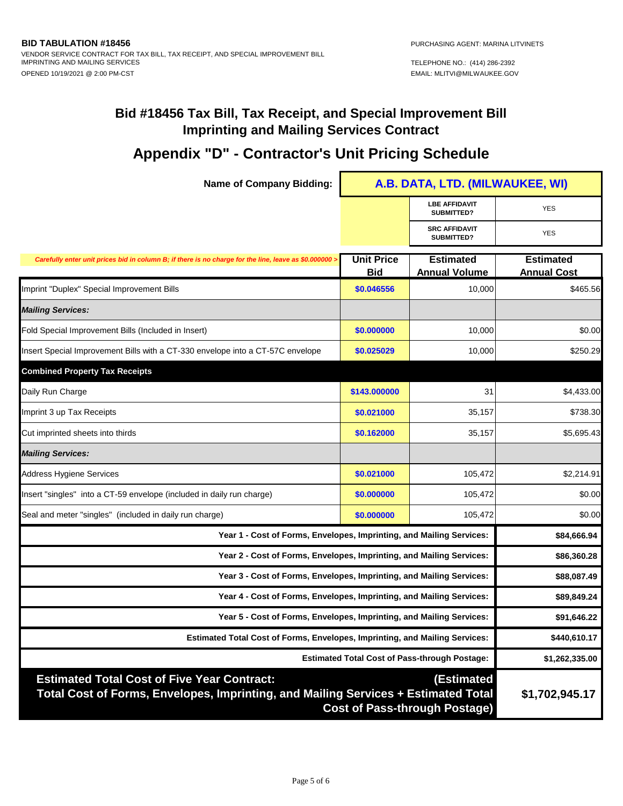## **Appendix "D" - Contractor's Unit Pricing Schedule**

F

| <b>Name of Company Bidding:</b>                                                                                                                                                                | A.B. DATA, LTD. (MILWAUKEE, WI) |                                          |                                        |
|------------------------------------------------------------------------------------------------------------------------------------------------------------------------------------------------|---------------------------------|------------------------------------------|----------------------------------------|
|                                                                                                                                                                                                |                                 | <b>LBE AFFIDAVIT</b><br>SUBMITTED?       | <b>YES</b>                             |
|                                                                                                                                                                                                |                                 | <b>SRC AFFIDAVIT</b><br>SUBMITTED?       | <b>YES</b>                             |
| Carefully enter unit prices bid in column B; if there is no charge for the line, leave as \$0.000000 >                                                                                         | <b>Unit Price</b><br><b>Bid</b> | <b>Estimated</b><br><b>Annual Volume</b> | <b>Estimated</b><br><b>Annual Cost</b> |
| Imprint "Duplex" Special Improvement Bills                                                                                                                                                     | \$0.046556                      | 10,000                                   | \$465.56                               |
| <b>Mailing Services:</b>                                                                                                                                                                       |                                 |                                          |                                        |
| Fold Special Improvement Bills (Included in Insert)                                                                                                                                            | \$0.000000                      | 10,000                                   | \$0.00                                 |
| Insert Special Improvement Bills with a CT-330 envelope into a CT-57C envelope                                                                                                                 | \$0.025029                      | 10,000                                   | \$250.29                               |
| <b>Combined Property Tax Receipts</b>                                                                                                                                                          |                                 |                                          |                                        |
| Daily Run Charge                                                                                                                                                                               | \$143.000000                    | 31                                       | \$4,433.00                             |
| Imprint 3 up Tax Receipts                                                                                                                                                                      | \$0.021000                      | 35,157                                   | \$738.30                               |
| Cut imprinted sheets into thirds                                                                                                                                                               | \$0.162000                      | 35,157                                   | \$5,695.43                             |
| <b>Mailing Services:</b>                                                                                                                                                                       |                                 |                                          |                                        |
| <b>Address Hygiene Services</b>                                                                                                                                                                | \$0.021000                      | 105,472                                  | \$2,214.91                             |
| Insert "singles" into a CT-59 envelope (included in daily run charge)                                                                                                                          | \$0.000000                      | 105,472                                  | \$0.00                                 |
| Seal and meter "singles" (included in daily run charge)                                                                                                                                        | \$0.000000                      | 105,472                                  | \$0.00                                 |
| Year 1 - Cost of Forms, Envelopes, Imprinting, and Mailing Services:                                                                                                                           |                                 |                                          | \$84,666.94                            |
| Year 2 - Cost of Forms, Envelopes, Imprinting, and Mailing Services:                                                                                                                           |                                 |                                          | \$86,360.28                            |
| Year 3 - Cost of Forms, Envelopes, Imprinting, and Mailing Services:                                                                                                                           |                                 |                                          | \$88,087.49                            |
| Year 4 - Cost of Forms, Envelopes, Imprinting, and Mailing Services:                                                                                                                           |                                 |                                          | \$89,849.24                            |
| Year 5 - Cost of Forms, Envelopes, Imprinting, and Mailing Services:                                                                                                                           |                                 |                                          | \$91,646.22                            |
| <b>Estimated Total Cost of Forms, Envelopes, Imprinting, and Mailing Services:</b>                                                                                                             |                                 |                                          | \$440,610.17                           |
| <b>Estimated Total Cost of Pass-through Postage:</b>                                                                                                                                           |                                 |                                          | \$1,262,335.00                         |
| <b>Estimated Total Cost of Five Year Contract:</b><br>(Estimated<br>Total Cost of Forms, Envelopes, Imprinting, and Mailing Services + Estimated Total<br><b>Cost of Pass-through Postage)</b> |                                 |                                          | \$1,702,945.17                         |